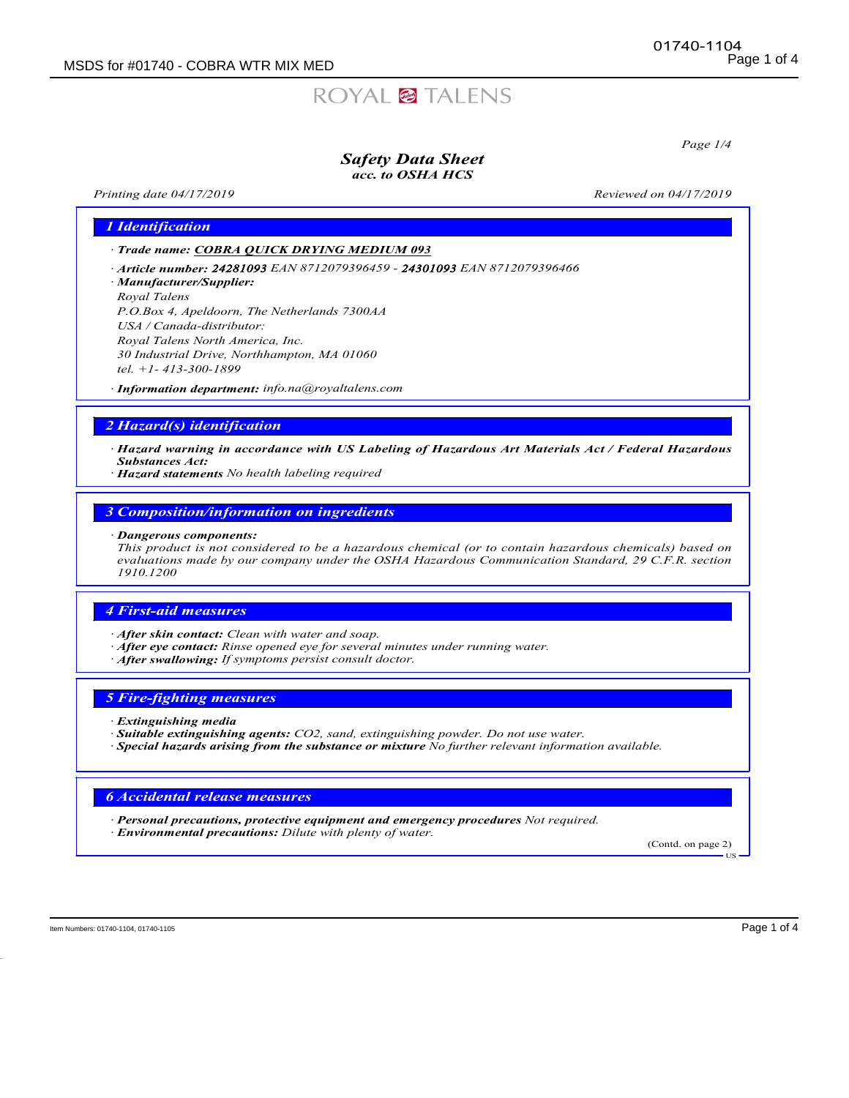# ROYAL<sup>2</sup> TALENS

Page 1/4

#### Safety Data Sheet acc. to OSHA HCS

Printing date 04/17/2019 **Reviewed on 04/17/2019** Reviewed on 04/17/2019

1 Identification

· Trade name: COBRA QUICK DRYING MEDIUM 093

· Article number: 24281093 EAN 8712079396459 - 24301093 EAN 8712079396466

· Manufacturer/Supplier:

Royal Talens P.O.Box 4, Apeldoorn, The Netherlands 7300AA USA / Canada-distributor: Royal Talens North America, Inc. 30 Industrial Drive, Northhampton, MA 01060

tel. +1- 413-300-1899

· Information department: info.na@royaltalens.com

# 2 Hazard(s) identification

· Hazard warning in accordance with US Labeling of Hazardous Art Materials Act / Federal Hazardous Substances Act:

· Hazard statements No health labeling required

3 Composition/information on ingredients

· Dangerous components:

This product is not considered to be a hazardous chemical (or to contain hazardous chemicals) based on evaluations made by our company under the OSHA Hazardous Communication Standard, 29 C.F.R. section 1910.1200

# 4 First-aid measures

· After skin contact: Clean with water and soap.

- · After eye contact: Rinse opened eye for several minutes under running water.
- · After swallowing: If symptoms persist consult doctor.

#### 5 Fire-fighting measures

· Extinguishing media

· Suitable extinguishing agents: CO2, sand, extinguishing powder. Do not use water.

· Special hazards arising from the substance or mixture *No further relevant information available.*

# 6 Accidental release measures

· Personal precautions, protective equipment and emergency procedures Not required.

· Environmental precautions: Dilute with plenty of water.

(Contd. on page 2) US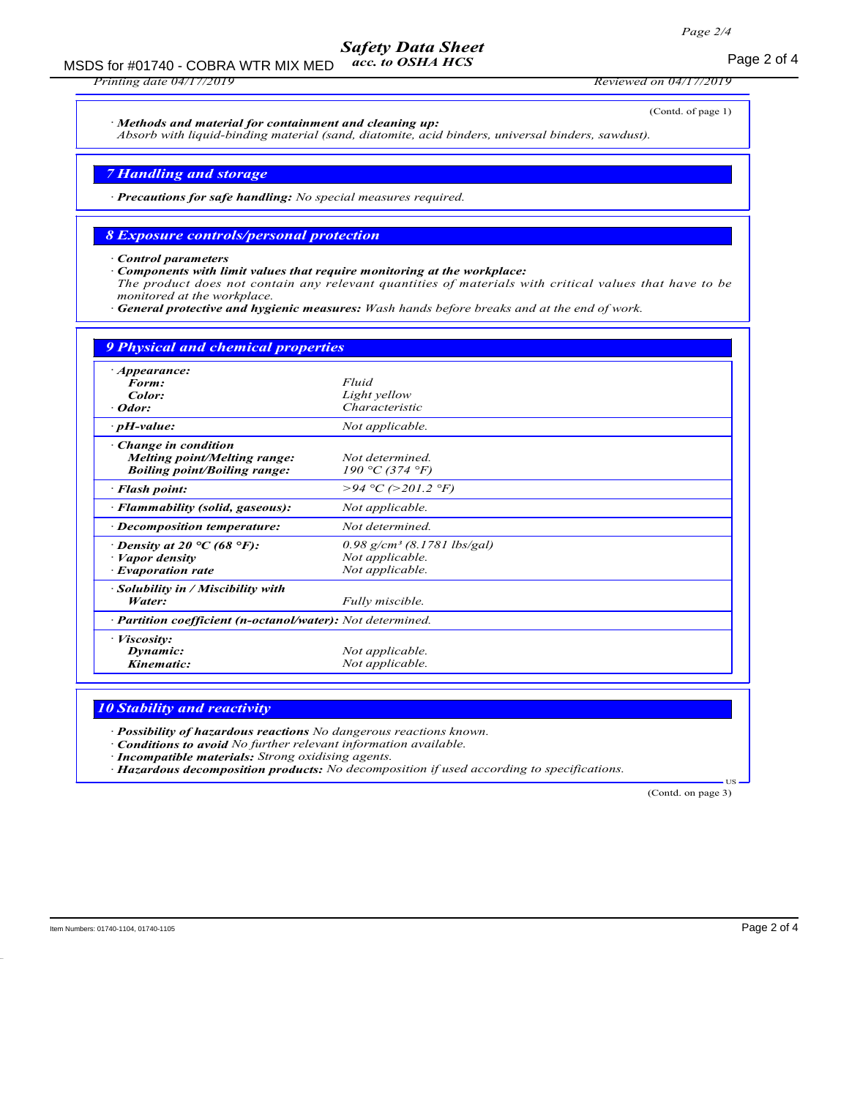#### Safety Data Sheet acc. to OSHA HCS

MSDS for #01740 - COBRA WTR MIX MED acc. to OSHA HCS example 2 of 4

Printing date 04/17/2019 Reviewed on 04/17/2019

· Methods and material for containment and cleaning up:

(Contd. of page 1)

Absorb with liquid-binding material (sand, diatomite, acid binders, universal binders, sawdust).

7 Handling and storage

· Precautions for safe handling: No special measures required.

# 8 Exposure controls/personal protection

· Control parameters

Components with limit values that require monitoring at the workplace: The product does not contain any relevant quantities of materials with critical values that have to be monitored at the workplace.

· General protective and hygienic measures: Wash hands before breaks and at the end of work.

| <b>9 Physical and chemical properties</b>                                                  |                                                                                 |
|--------------------------------------------------------------------------------------------|---------------------------------------------------------------------------------|
| <i>Appearance:</i><br>Form:<br>Color:<br>Odor:                                             | Fluid<br>Light yellow<br>Characteristic                                         |
| $\cdot$ pH-value:                                                                          | Not applicable.                                                                 |
| Change in condition<br>Melting point/Melting range:<br><b>Boiling point/Boiling range:</b> | Not determined.<br>190 °C (374 °F)                                              |
| · Flash point:                                                                             | >94 °C (>201.2 °F)                                                              |
| · Flammability (solid, gaseous):                                                           | Not applicable.                                                                 |
| · Decomposition temperature:                                                               | Not determined.                                                                 |
| $\cdot$ Density at 20 °C (68 °F):<br>· Vapor density<br><b>Evaporation rate</b>            | $0.98$ g/cm <sup>3</sup> (8.1781 lbs/gal)<br>Not applicable.<br>Not applicable. |
| · Solubility in / Miscibility with<br>Water:                                               | Fully miscible.                                                                 |
| · Partition coefficient (n-octanol/water): Not determined.                                 |                                                                                 |
| · Viscosity:<br>Dynamic:<br>Kinematic:                                                     | Not applicable.<br>Not applicable.                                              |

# 10 Stability and reactivity

· Possibility of hazardous reactions No dangerous reactions known.

· Conditions to avoid No further relevant information available.

· Incompatible materials: Strong oxidising agents.

· Hazardous decomposition products: No decomposition if used according to specifications.

(Contd. on page 3)

**T<sub>IS</sub>**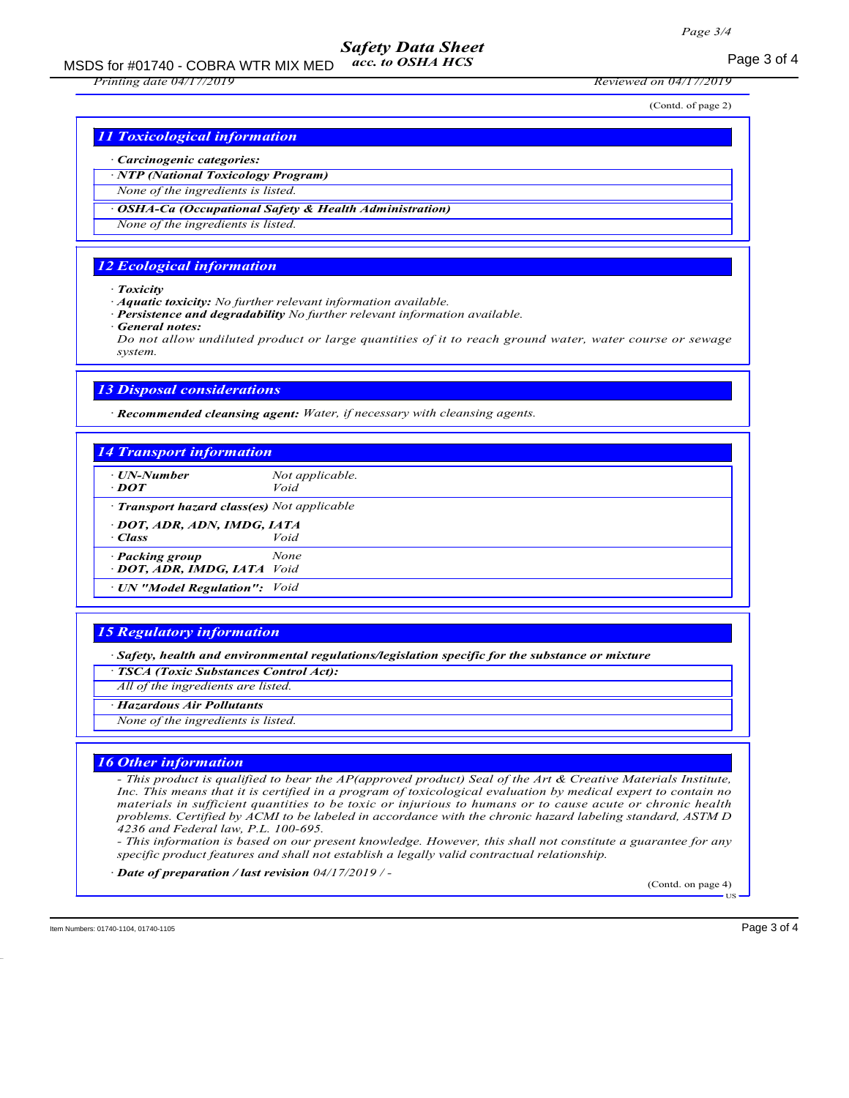### Safety Data Sheet acc. to OSHA HCS

MSDS for #01740 - COBRA WTR MIX MED  $acc.$  to OSHA HCS  $P$  and  $P$  and  $P$  and  $P$  and  $P$  and  $P$  and  $P$  and  $P$  and  $P$  and  $P$  and  $P$  and  $P$  and  $P$  and  $P$  and  $P$  and  $P$  and  $P$  and  $P$  and  $P$  and  $P$  and  $P$  and

Printing date 04/17/2019 Reviewed on 04/17/2019

(Contd. of page 2)

11 Toxicological information

#### · Carcinogenic categories:

· NTP (National Toxicology Program)

None of the ingredients is listed.

OSHA-Ca (Occupational Safety & Health Administration)

None of the ingredients is listed.

## 12 Ecological information

· Toxicity

· Aquatic toxicity: No further relevant information available.

Persistence and degradability No further relevant information available.

General notes:

Do not allow undiluted product or large quantities of it to reach ground water, water course or sewage system.

# 13 Disposal considerations

· Recommended cleansing agent: Water, if necessary with cleansing agents.

| $\cdot$ DOT                                  | Not applicable.<br>Void |  |
|----------------------------------------------|-------------------------|--|
| · Transport hazard class(es) Not applicable  |                         |  |
| - DOT, ADR, ADN, IMDG, IATA<br>· Class       | Void                    |  |
| · Packing group<br>DOT, ADR, IMDG, IATA Void | None                    |  |
| · UN "Model Regulation": Void                |                         |  |

#### 15 Regulatory information

· Safety, health and environmental regulations/legislation specific for the substance or mixture

· TSCA (Toxic Substances Control Act):

*All of* the ingredients *are* listed.

· Hazardous Air Pollutants

None of the ingredients is listed.

#### 16 Other information

- This product is qualified to bear the AP(approved product) Seal of the Art & Creative Materials Institute, Inc. This means that it is certified in a program of toxicological evaluation by medical expert to contain no materials in sufficient quantities to be toxic or injurious to humans or to cause acute or chronic health problems. Certified by ACMI to be labeled in accordance with the chronic hazard labeling standard, ASTM D 4236 and Federal law, P.L. 100-695.

- This information is based on our present knowledge. However, this shall not constitute a guarantee for any specific product features and shall not establish a legally valid contractual relationship.

· Date of preparation / last revision 04/17/2019 / -

(Contd. on page 4)

**HS**